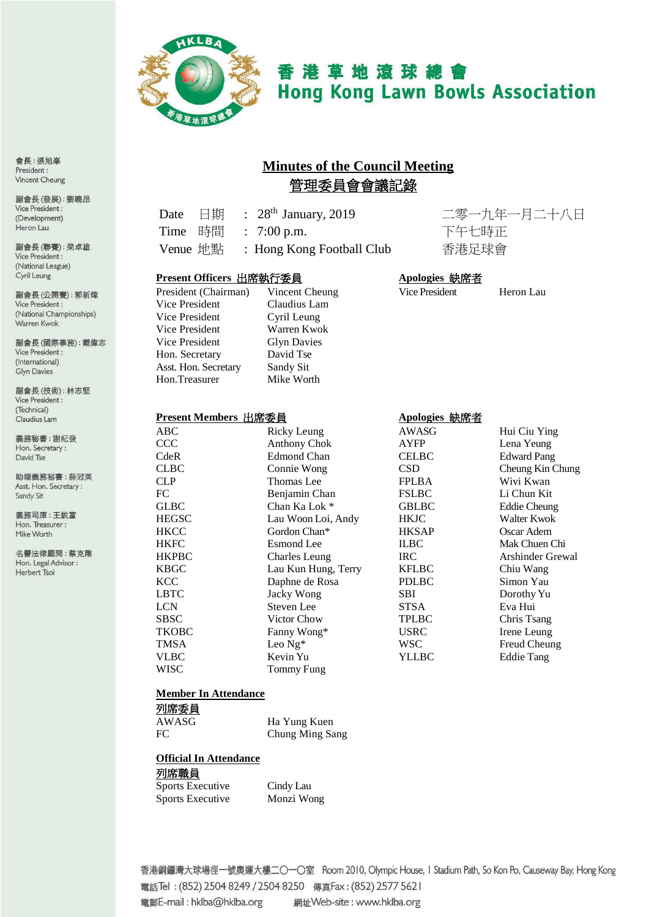

# 香港草地滾球總會 **Hong Kong Lawn Bowls Association**

## **Minutes of the Council Meeting** 管理委員會會議記錄

Date 日期 : 28th January, 2019 二零一九年一月二十八日 Time 時間 : 7:00 p.m. 下午七時正 Venue 地點 : Hong Kong Football Club 香港足球會

#### **Present Officers** 出席執行委員 **Apologies** 缺席者

| C  |
|----|
| С  |
| v  |
| G  |
| D  |
| S: |
|    |
|    |

#### Vice President Heron Lau 'laudius Lam 'yril Leung Varren Kwok Ivn Davies avid Tse andy Sit. **Iike Worth**

### **Present Members** 出席委員 **Apologies** 缺席者

| <b>ABC</b>   | Ricky Leung         | AWASG        | Hui Ciu Ying       |
|--------------|---------------------|--------------|--------------------|
| <b>CCC</b>   | <b>Anthony Chok</b> | <b>AYFP</b>  | Lena Yeung         |
| CdeR         | <b>Edmond Chan</b>  | <b>CELBC</b> | <b>Edward Pang</b> |
| <b>CLBC</b>  | Connie Wong         | <b>CSD</b>   | Cheung Kin Chung   |
| <b>CLP</b>   | Thomas Lee          | <b>FPLBA</b> | Wivi Kwan          |
| FC           | Benjamin Chan       | <b>FSLBC</b> | Li Chun Kit        |
| <b>GLBC</b>  | Chan Ka Lok *       | <b>GBLBC</b> | Eddie Cheung       |
| <b>HEGSC</b> | Lau Woon Loi, Andy  | <b>HKJC</b>  | Walter Kwok        |
| <b>HKCC</b>  | Gordon Chan*        | <b>HKSAP</b> | Oscar Adem         |
| <b>HKFC</b>  | <b>Esmond</b> Lee   | <b>ILBC</b>  | Mak Chuen Chi      |
| <b>HKPBC</b> | Charles Leung       | IRC.         | Arshinder Grewal   |
| <b>KBGC</b>  | Lau Kun Hung, Terry | <b>KFLBC</b> | Chiu Wang          |
| <b>KCC</b>   | Daphne de Rosa      | <b>PDLBC</b> | Simon Yau          |
| <b>LBTC</b>  | Jacky Wong          | <b>SBI</b>   | Dorothy Yu         |
| <b>LCN</b>   | Steven Lee          | <b>STSA</b>  | Eva Hui            |
| <b>SBSC</b>  | Victor Chow         | <b>TPLBC</b> | Chris Tsang        |
| <b>TKOBC</b> | Fanny Wong*         | <b>USRC</b>  | Irene Leung        |
| <b>TMSA</b>  | Leo $Ng^*$          | <b>WSC</b>   | Freud Cheung       |
| VLBC         | Kevin Yu            | <b>YLLBC</b> | <b>Eddie Tang</b>  |
| WISC         | Tommy Fung          |              |                    |
|              |                     |              |                    |

#### **Member In Attendance**

| 列席委員  |                 |
|-------|-----------------|
| AWASG | Ha Yung Kuen    |
| FC.   | Chung Ming Sang |

|--|

#### 列席職員

| <b>Sports Executive</b> | Cindy Lau  |
|-------------------------|------------|
| <b>Sports Executive</b> | Monzi Wong |

香港銅鑼灣大球場徑一號奧運大樓二〇一〇室 Room 2010, Olympic House, I Stadium Path, So Kon Po, Causeway Bay, Hong Kong 電話Tel: (852) 2504 8249 / 2504 8250 傳真Fax: (852) 2577 5621 電郵E-mail: hklba@hklba.org 網址Web-site: www.hklba.org

會長:張旭峯 President: Vincent Cheung

副會長(發展):劉曉昂 Vice President : (Development) Heron Lau

副會長(聯賽):梁卓雄 Vice President : (National League) Cyril Leung

副會長(公開賽): 郭新煒 Vice President : (National Championships) Warren Kwok

副會長(國際事務):戴偉志 Vice President : (International) Glyn Davies

副會長(技術):林志堅 Vice President : (Technical) Claudius Lam

義務秘書:謝紀發 Hon. Secretary: David Tse

助理義務秘書:薛冠美 Asst. Hon. Secretary: Sandy Sit

義務司庫:王鋭富 Hon. Treasurer: Mike Worth

名譽法律顧問:蔡克剛 Hon. Legal Advisor : Herbert Tsoi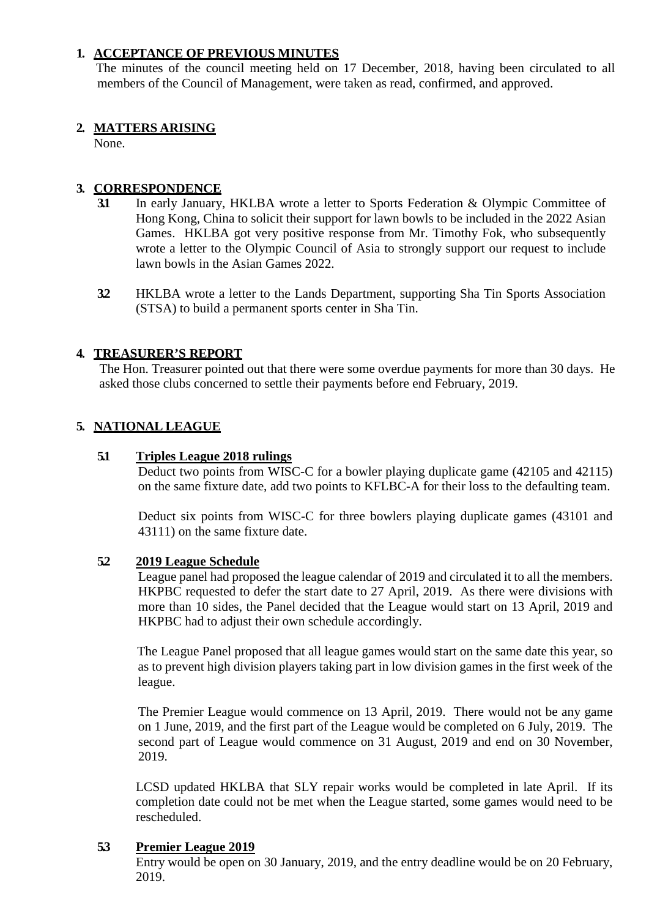### **1. ACCEPTANCE OF PREVIOUS MINUTES**

The minutes of the council meeting held on 17 December, 2018, having been circulated to all members of the Council of Management, were taken as read, confirmed, and approved.

#### **2. MATTERS ARISING**

None.

### **3. CORRESPONDENCE**

- **3.1** In early January, HKLBA wrote a letter to Sports Federation & Olympic Committee of Hong Kong, China to solicit their support for lawn bowls to be included in the 2022 Asian Games. HKLBA got very positive response from Mr. Timothy Fok, who subsequently wrote a letter to the Olympic Council of Asia to strongly support our request to include lawn bowls in the Asian Games 2022.
- **3.2** HKLBA wrote a letter to the Lands Department, supporting Sha Tin Sports Association (STSA) to build a permanent sports center in Sha Tin.

### **4. TREASURER'S REPORT**

The Hon. Treasurer pointed out that there were some overdue payments for more than 30 days. He asked those clubs concerned to settle their payments before end February, 2019.

### **5. NATIONAL LEAGUE**

#### **5.1 Triples League 2018 rulings**

Deduct two points from WISC-C for a bowler playing duplicate game (42105 and 42115) on the same fixture date, add two points to KFLBC-A for their loss to the defaulting team.

Deduct six points from WISC-C for three bowlers playing duplicate games (43101 and 43111) on the same fixture date.

#### **5.2 2019 League Schedule**

League panel had proposed the league calendar of 2019 and circulated it to all the members. HKPBC requested to defer the start date to 27 April, 2019. As there were divisions with more than 10 sides, the Panel decided that the League would start on 13 April, 2019 and HKPBC had to adjust their own schedule accordingly.

 The League Panel proposed that all league games would start on the same date this year, so as to prevent high division players taking part in low division games in the first week of the league.

The Premier League would commence on 13 April, 2019. There would not be any game on 1 June, 2019, and the first part of the League would be completed on 6 July, 2019. The second part of League would commence on 31 August, 2019 and end on 30 November, 2019.

LCSD updated HKLBA that SLY repair works would be completed in late April. If its completion date could not be met when the League started, some games would need to be rescheduled.

#### **5.3 Premier League 2019**

Entry would be open on 30 January, 2019, and the entry deadline would be on 20 February, 2019.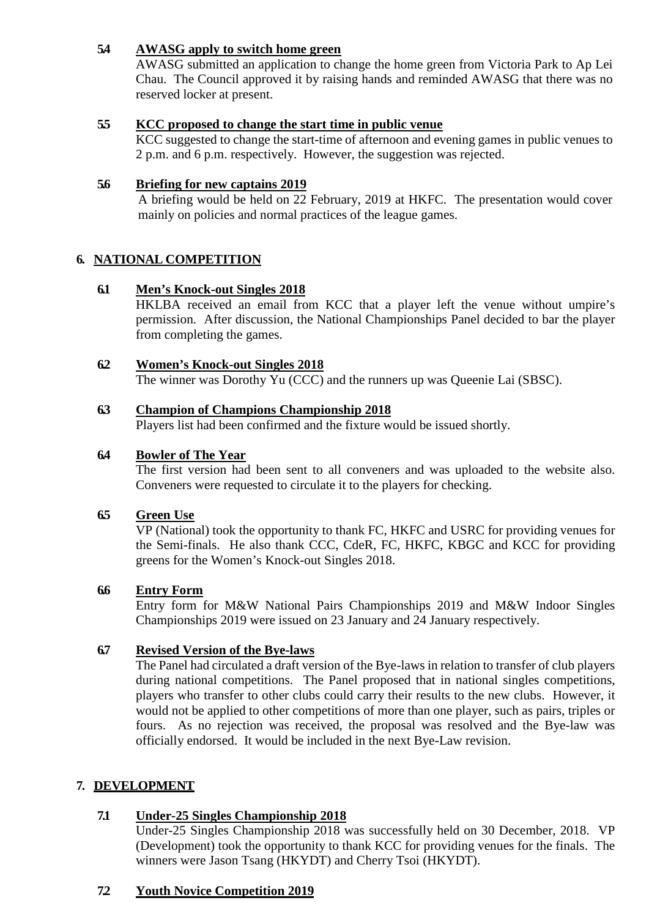### **5.4 AWASG apply to switch home green**

AWASG submitted an application to change the home green from Victoria Park to Ap Lei Chau. The Council approved it by raising hands and reminded AWASG that there was no reserved locker at present.

#### **5.5 KCC proposed to change the start time in public venue**

KCC suggested to change the start-time of afternoon and evening games in public venues to 2 p.m. and 6 p.m. respectively. However, the suggestion was rejected.

#### **5.6 Briefing for new captains 2019**

A briefing would be held on 22 February, 2019 at HKFC. The presentation would cover mainly on policies and normal practices of the league games.

### **6. NATIONAL COMPETITION**

#### **6.1 Men's Knock-out Singles 2018**

HKLBA received an email from KCC that a player left the venue without umpire's permission. After discussion, the National Championships Panel decided to bar the player from completing the games.

#### **6.2 Women's Knock-out Singles 2018**

The winner was Dorothy Yu (CCC) and the runners up was Queenie Lai (SBSC).

#### **6.3 Champion of Champions Championship 2018**

Players list had been confirmed and the fixture would be issued shortly.

#### **6.4 Bowler of The Year**

The first version had been sent to all conveners and was uploaded to the website also. Conveners were requested to circulate it to the players for checking.

#### **6.5 Green Use**

VP (National) took the opportunity to thank FC, HKFC and USRC for providing venues for the Semi-finals. He also thank CCC, CdeR, FC, HKFC, KBGC and KCC for providing greens for the Women's Knock-out Singles 2018.

#### **6.6 Entry Form**

Entry form for M&W National Pairs Championships 2019 and M&W Indoor Singles Championships 2019 were issued on 23 January and 24 January respectively.

#### **6.7 Revised Version of the Bye-laws**

The Panel had circulated a draft version of the Bye-laws in relation to transfer of club players during national competitions. The Panel proposed that in national singles competitions, players who transfer to other clubs could carry their results to the new clubs. However, it would not be applied to other competitions of more than one player, such as pairs, triples or fours. As no rejection was received, the proposal was resolved and the Bye-law was officially endorsed. It would be included in the next Bye-Law revision.

#### **7. DEVELOPMENT**

#### **7.1 Under-25 Singles Championship 2018**

Under-25 Singles Championship 2018 was successfully held on 30 December, 2018. VP (Development) took the opportunity to thank KCC for providing venues for the finals. The winners were Jason Tsang (HKYDT) and Cherry Tsoi (HKYDT).

#### **7.2 Youth Novice Competition 2019**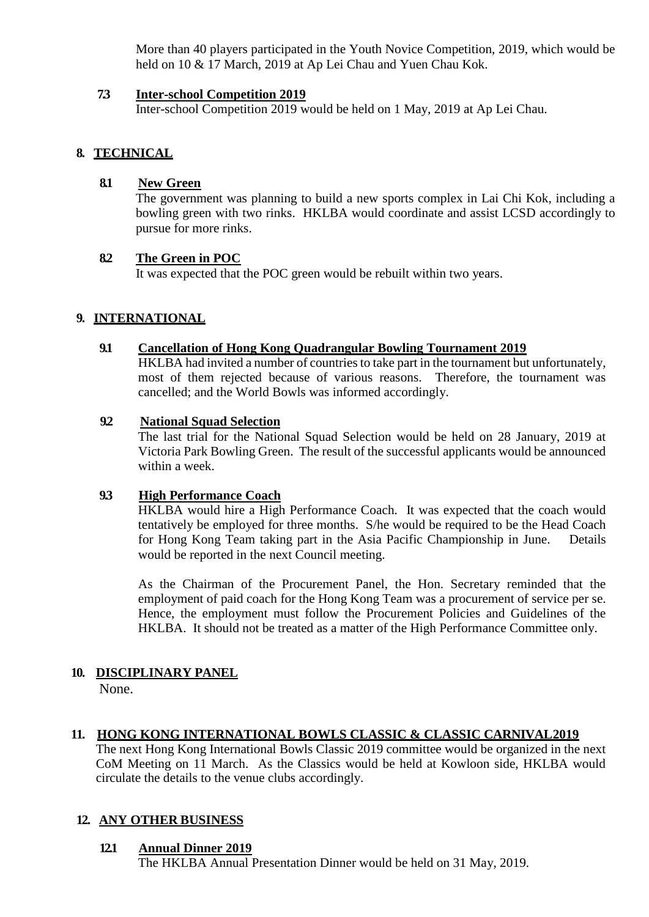More than 40 players participated in the Youth Novice Competition, 2019, which would be held on 10 & 17 March, 2019 at Ap Lei Chau and Yuen Chau Kok.

#### **7.3 Inter-school Competition 2019**

Inter-school Competition 2019 would be held on 1 May, 2019 at Ap Lei Chau.

### **8. TECHNICAL**

#### **8.1 New Green**

The government was planning to build a new sports complex in Lai Chi Kok, including a bowling green with two rinks. HKLBA would coordinate and assist LCSD accordingly to pursue for more rinks.

#### **8.2 The Green in POC**

It was expected that the POC green would be rebuilt within two years.

### **9. INTERNATIONAL**

#### **9.1 Cancellation of Hong Kong Quadrangular Bowling Tournament 2019**

HKLBA had invited a number of countries to take part in the tournament but unfortunately, most of them rejected because of various reasons. Therefore, the tournament was cancelled; and the World Bowls was informed accordingly.

#### **9.2 National Squad Selection**

The last trial for the National Squad Selection would be held on 28 January, 2019 at Victoria Park Bowling Green. The result of the successful applicants would be announced within a week.

#### **9.3 High Performance Coach**

HKLBA would hire a High Performance Coach. It was expected that the coach would tentatively be employed for three months. S/he would be required to be the Head Coach for Hong Kong Team taking part in the Asia Pacific Championship in June. Details would be reported in the next Council meeting.

As the Chairman of the Procurement Panel, the Hon. Secretary reminded that the employment of paid coach for the Hong Kong Team was a procurement of service per se. Hence, the employment must follow the Procurement Policies and Guidelines of the HKLBA. It should not be treated as a matter of the High Performance Committee only.

# **10. DISCIPLINARY PANEL**

None.

#### **11. HONG KONG INTERNATIONAL BOWLS CLASSIC & CLASSIC CARNIVAL2019**

The next Hong Kong International Bowls Classic 2019 committee would be organized in the next CoM Meeting on 11 March. As the Classics would be held at Kowloon side, HKLBA would circulate the details to the venue clubs accordingly.

#### **12. ANY OTHER BUSINESS**

#### **12.1 Annual Dinner 2019**

The HKLBA Annual Presentation Dinner would be held on 31 May, 2019.